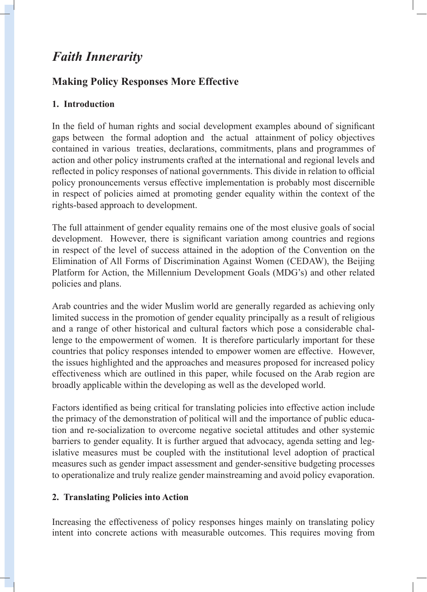# *Faith Innerarity*

## **Making Policy Responses More Effective**

## **1. Introduction**

In the field of human rights and social development examples abound of significant gaps between the formal adoption and the actual attainment of policy objectives contained in various treaties, declarations, commitments, plans and programmes of action and other policy instruments crafted at the international and regional levels and reflected in policy responses of national governments. This divide in relation to official policy pronouncements versus effective implementation is probably most discernible in respect of policies aimed at promoting gender equality within the context of the rights-based approach to development.

The full attainment of gender equality remains one of the most elusive goals of social development. However, there is significant variation among countries and regions in respect of the level of success attained in the adoption of the Convention on the Elimination of All Forms of Discrimination Against Women (CEDAW), the Beijing Platform for Action, the Millennium Development Goals (MDG's) and other related policies and plans.

Arab countries and the wider Muslim world are generally regarded as achieving only limited success in the promotion of gender equality principally as a result of religious and a range of other historical and cultural factors which pose a considerable challenge to the empowerment of women. It is therefore particularly important for these countries that policy responses intended to empower women are effective. However, the issues highlighted and the approaches and measures proposed for increased policy effectiveness which are outlined in this paper, while focused on the Arab region are broadly applicable within the developing as well as the developed world.

Factors identified as being critical for translating policies into effective action include the primacy of the demonstration of political will and the importance of public education and re-socialization to overcome negative societal attitudes and other systemic barriers to gender equality. It is further argued that advocacy, agenda setting and legislative measures must be coupled with the institutional level adoption of practical measures such as gender impact assessment and gender-sensitive budgeting processes to operationalize and truly realize gender mainstreaming and avoid policy evaporation.

## **2. Translating Policies into Action**

Increasing the effectiveness of policy responses hinges mainly on translating policy intent into concrete actions with measurable outcomes. This requires moving from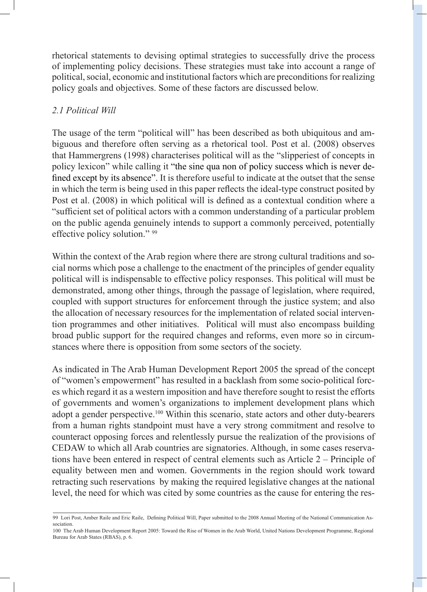rhetorical statements to devising optimal strategies to successfully drive the process of implementing policy decisions. These strategies must take into account a range of political, social, economic and institutional factors which are preconditions for realizing policy goals and objectives. Some of these factors are discussed below.

## *2.1 Political Will*

The usage of the term "political will" has been described as both ubiquitous and ambiguous and therefore often serving as a rhetorical tool. Post et al. (2008) observes that Hammergrens (1998) characterises political will as the "slipperiest of concepts in policy lexicon" while calling it "the sine qua non of policy success which is never defined except by its absence". It is therefore useful to indicate at the outset that the sense in which the term is being used in this paper reflects the ideal-type construct posited by Post et al. (2008) in which political will is defined as a contextual condition where a "sufficient set of political actors with a common understanding of a particular problem on the public agenda genuinely intends to support a commonly perceived, potentially effective policy solution." 99

Within the context of the Arab region where there are strong cultural traditions and social norms which pose a challenge to the enactment of the principles of gender equality political will is indispensable to effective policy responses. This political will must be demonstrated, among other things, through the passage of legislation, where required, coupled with support structures for enforcement through the justice system; and also the allocation of necessary resources for the implementation of related social intervention programmes and other initiatives. Political will must also encompass building broad public support for the required changes and reforms, even more so in circumstances where there is opposition from some sectors of the society.

As indicated in The Arab Human Development Report 2005 the spread of the concept of "women's empowerment" has resulted in a backlash from some socio-political forces which regard it as a western imposition and have therefore sought to resist the efforts of governments and women's organizations to implement development plans which adopt a gender perspective.<sup>100</sup> Within this scenario, state actors and other duty-bearers from a human rights standpoint must have a very strong commitment and resolve to counteract opposing forces and relentlessly pursue the realization of the provisions of CEDAW to which all Arab countries are signatories. Although, in some cases reservations have been entered in respect of central elements such as Article 2 – Principle of equality between men and women. Governments in the region should work toward retracting such reservations by making the required legislative changes at the national level, the need for which was cited by some countries as the cause for entering the res-

<sup>99</sup> Lori Post, Amber Raile and Eric Raile, Defining Political Will, Paper submitted to the 2008 Annual Meeting of the National Communication Association.

<sup>100</sup> The Arab Human Development Report 2005: Toward the Rise of Women in the Arab World, United Nations Development Programme, Regional Bureau for Arab States (RBAS), p. 6.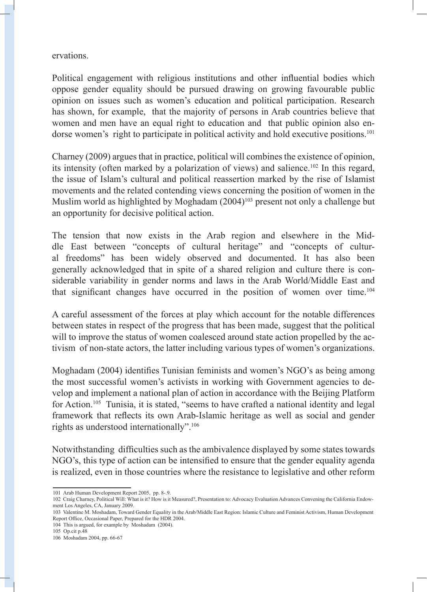ervations.

Political engagement with religious institutions and other influential bodies which oppose gender equality should be pursued drawing on growing favourable public opinion on issues such as women's education and political participation. Research has shown, for example, that the majority of persons in Arab countries believe that women and men have an equal right to education and that public opinion also endorse women's right to participate in political activity and hold executive positions.<sup>101</sup>

Charney (2009) argues that in practice, political will combines the existence of opinion, its intensity (often marked by a polarization of views) and salience.102 In this regard, the issue of Islam's cultural and political reassertion marked by the rise of Islamist movements and the related contending views concerning the position of women in the Muslim world as highlighted by Moghadam  $(2004)^{103}$  present not only a challenge but an opportunity for decisive political action.

The tension that now exists in the Arab region and elsewhere in the Middle East between "concepts of cultural heritage" and "concepts of cultural freedoms" has been widely observed and documented. It has also been generally acknowledged that in spite of a shared religion and culture there is considerable variability in gender norms and laws in the Arab World/Middle East and that significant changes have occurred in the position of women over time.<sup>104</sup>

A careful assessment of the forces at play which account for the notable differences between states in respect of the progress that has been made, suggest that the political will to improve the status of women coalesced around state action propelled by the activism of non-state actors, the latter including various types of women's organizations.

Moghadam (2004) identifies Tunisian feminists and women's NGO's as being among the most successful women's activists in working with Government agencies to develop and implement a national plan of action in accordance with the Beijing Platform for Action.<sup>105</sup> Tunisia, it is stated, "seems to have crafted a national identity and legal framework that reflects its own Arab-Islamic heritage as well as social and gender rights as understood internationally".106

Notwithstanding difficulties such as the ambivalence displayed by some states towards NGO's, this type of action can be intensified to ensure that the gender equality agenda is realized, even in those countries where the resistance to legislative and other reform

- 104 This is argued, for example by Moshadam (2004).
- 105 Op.cit p.48

<sup>101</sup> Arab Human Development Report 2005, pp. 8-.9.

<sup>102</sup> Craig Charney, Political Will: What is it? How is it Measured?, Presentation to: Advocacy Evaluation Advances Convening the California Endowment Los Angeles, CA, January 2009.

<sup>103</sup> Valentine M. Moshadam, Toward Gender Equality in the Arab/Middle East Region: Islamic Culture and Feminist Activism, Human Development Report Office, Occasional Paper, Prepared for the HDR 2004.

<sup>106</sup> Moshadam 2004, pp. 66-67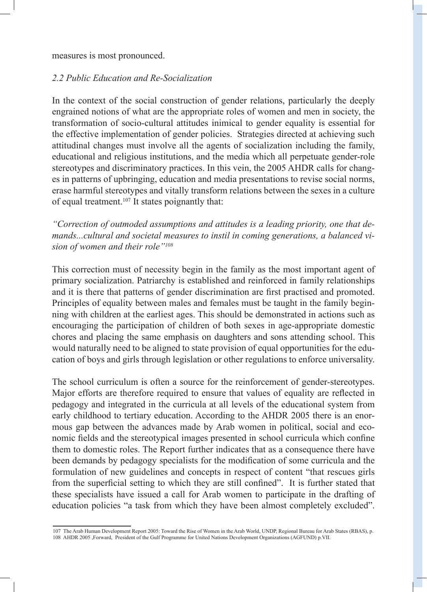measures is most pronounced.

#### *2.2 Public Education and Re-Socialization*

In the context of the social construction of gender relations, particularly the deeply engrained notions of what are the appropriate roles of women and men in society, the transformation of socio-cultural attitudes inimical to gender equality is essential for the effective implementation of gender policies. Strategies directed at achieving such attitudinal changes must involve all the agents of socialization including the family, educational and religious institutions, and the media which all perpetuate gender-role stereotypes and discriminatory practices. In this vein, the 2005 AHDR calls for changes in patterns of upbringing, education and media presentations to revise social norms, erase harmful stereotypes and vitally transform relations between the sexes in a culture of equal treatment.107 It states poignantly that:

*"Correction of outmoded assumptions and attitudes is a leading priority, one that demands...cultural and societal measures to instil in coming generations, a balanced vision of women and their role"108*

This correction must of necessity begin in the family as the most important agent of primary socialization. Patriarchy is established and reinforced in family relationships and it is there that patterns of gender discrimination are first practised and promoted. Principles of equality between males and females must be taught in the family beginning with children at the earliest ages. This should be demonstrated in actions such as encouraging the participation of children of both sexes in age-appropriate domestic chores and placing the same emphasis on daughters and sons attending school. This would naturally need to be aligned to state provision of equal opportunities for the education of boys and girls through legislation or other regulations to enforce universality.

The school curriculum is often a source for the reinforcement of gender-stereotypes. Major efforts are therefore required to ensure that values of equality are reflected in pedagogy and integrated in the curricula at all levels of the educational system from early childhood to tertiary education. According to the AHDR 2005 there is an enormous gap between the advances made by Arab women in political, social and economic fields and the stereotypical images presented in school curricula which confine them to domestic roles. The Report further indicates that as a consequence there have been demands by pedagogy specialists for the modification of some curricula and the formulation of new guidelines and concepts in respect of content "that rescues girls from the superficial setting to which they are still confined". It is further stated that these specialists have issued a call for Arab women to participate in the drafting of education policies "a task from which they have been almost completely excluded".

<sup>107</sup> The Arab Human Development Report 2005: Toward the Rise of Women in the Arab World, UNDP, Regional Bureau for Arab States (RBAS), p. 108 AHDR 2005 ,Forward, President of the Gulf Programme for United Nations Development Organizations (AGFUND) p.VII.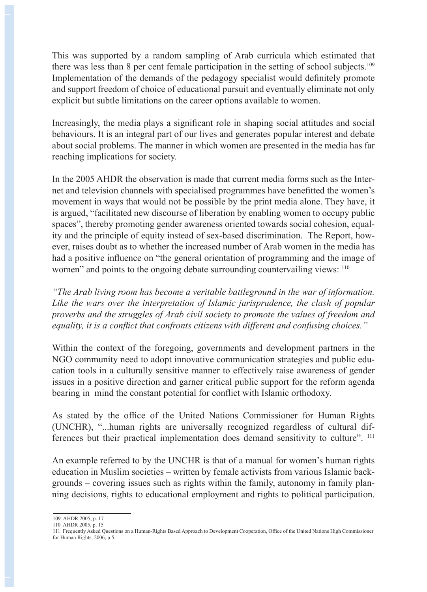This was supported by a random sampling of Arab curricula which estimated that there was less than 8 per cent female participation in the setting of school subjects.<sup>109</sup> Implementation of the demands of the pedagogy specialist would definitely promote and support freedom of choice of educational pursuit and eventually eliminate not only explicit but subtle limitations on the career options available to women.

Increasingly, the media plays a significant role in shaping social attitudes and social behaviours. It is an integral part of our lives and generates popular interest and debate about social problems. The manner in which women are presented in the media has far reaching implications for society.

In the 2005 AHDR the observation is made that current media forms such as the Internet and television channels with specialised programmes have benefitted the women's movement in ways that would not be possible by the print media alone. They have, it is argued, "facilitated new discourse of liberation by enabling women to occupy public spaces", thereby promoting gender awareness oriented towards social cohesion, equality and the principle of equity instead of sex-based discrimination. The Report, however, raises doubt as to whether the increased number of Arab women in the media has had a positive influence on "the general orientation of programming and the image of women" and points to the ongoing debate surrounding countervailing views: <sup>110</sup>

*"The Arab living room has become a veritable battleground in the war of information. Like the wars over the interpretation of Islamic jurisprudence, the clash of popular proverbs and the struggles of Arab civil society to promote the values of freedom and equality, it is a conflict that confronts citizens with different and confusing choices."*

Within the context of the foregoing, governments and development partners in the NGO community need to adopt innovative communication strategies and public education tools in a culturally sensitive manner to effectively raise awareness of gender issues in a positive direction and garner critical public support for the reform agenda bearing in mind the constant potential for conflict with Islamic orthodoxy.

As stated by the office of the United Nations Commissioner for Human Rights (UNCHR), "...human rights are universally recognized regardless of cultural differences but their practical implementation does demand sensitivity to culture". 111

An example referred to by the UNCHR is that of a manual for women's human rights education in Muslim societies – written by female activists from various Islamic backgrounds – covering issues such as rights within the family, autonomy in family planning decisions, rights to educational employment and rights to political participation.

<sup>109</sup> AHDR 2005, p. 17

<sup>110</sup> AHDR 2005, p. 15

<sup>111</sup> Frequently Asked Questions on a Human-Rights Based Approach to Development Cooperation, Office of the United Nations High Commissioner for Human Rights, 2006, p.5.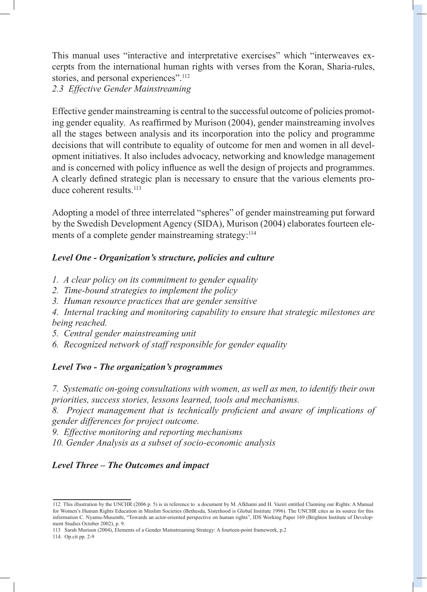This manual uses "interactive and interpretative exercises" which "interweaves excerpts from the international human rights with verses from the Koran, Sharia-rules, stories, and personal experiences".<sup>112</sup>

*2.3 Effective Gender Mainstreaming*

Effective gender mainstreaming is central to the successful outcome of policies promoting gender equality. As reaffirmed by Murison (2004), gender mainstreaming involves all the stages between analysis and its incorporation into the policy and programme decisions that will contribute to equality of outcome for men and women in all development initiatives. It also includes advocacy, networking and knowledge management and is concerned with policy influence as well the design of projects and programmes. A clearly defined strategic plan is necessary to ensure that the various elements produce coherent results.<sup>113</sup>

Adopting a model of three interrelated "spheres" of gender mainstreaming put forward by the Swedish Development Agency (SIDA), Murison (2004) elaborates fourteen elements of a complete gender mainstreaming strategy:<sup>114</sup>

### *Level One - Organization's structure, policies and culture*

- *1. A clear policy on its commitment to gender equality*
- *2. Time-bound strategies to implement the policy*
- *3. Human resource practices that are gender sensitive*

*4. Internal tracking and monitoring capability to ensure that strategic milestones are being reached.*

- *5. Central gender mainstreaming unit*
- *6. Recognized network of staff responsible for gender equality*

#### *Level Two - The organization's programmes*

*7. Systematic on-going consultations with women, as well as men, to identify their own priorities, success stories, lessons learned, tools and mechanisms.*

*8. Project management that is technically proficient and aware of implications of gender differences for project outcome.*

*9. Effective monitoring and reporting mechanisms*

*10. Gender Analysis as a subset of socio-economic analysis*

## *Level Three – The Outcomes and impact*

<sup>112</sup> This illustration by the UNCHR (2006 p. 5) is in reference to a document by M. Afkhami and H. Vaziri entitled Claiming our Rights: A Manual for Women's Human Rights Education in Muslim Societies (Bethesda, Sisterhood is Global Institute 1996). The UNCHR cites as its source for this information C. Nyamu-Musembi, "Towards an actor-oriented perspective on human rights", IDS Working Paper 169 (Brighton Institute of Development Studies October 2002), p. 9.

<sup>113</sup> Sarah Murison (2004), Elements of a Gender Mainstreaming Strategy: A fourteen-point framework, p.2

<sup>114.</sup> Op.cit pp. 2-9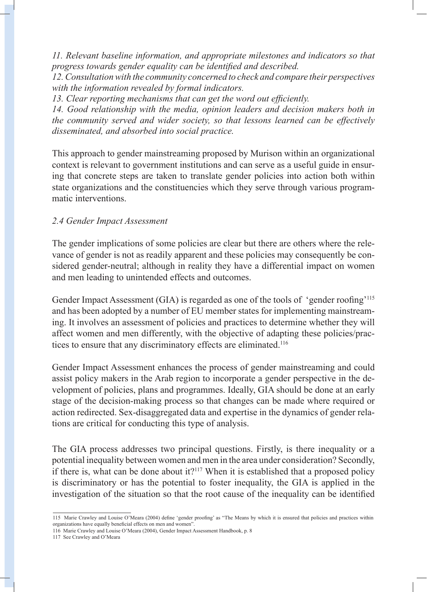*11. Relevant baseline information, and appropriate milestones and indicators so that progress towards gender equality can be identified and described.*

*12. Consultation with the community concerned to check and compare their perspectives with the information revealed by formal indicators.*

*13. Clear reporting mechanisms that can get the word out efficiently.*

*14. Good relationship with the media, opinion leaders and decision makers both in the community served and wider society, so that lessons learned can be effectively disseminated, and absorbed into social practice.*

This approach to gender mainstreaming proposed by Murison within an organizational context is relevant to government institutions and can serve as a useful guide in ensuring that concrete steps are taken to translate gender policies into action both within state organizations and the constituencies which they serve through various programmatic interventions.

### *2.4 Gender Impact Assessment*

The gender implications of some policies are clear but there are others where the relevance of gender is not as readily apparent and these policies may consequently be considered gender-neutral; although in reality they have a differential impact on women and men leading to unintended effects and outcomes.

Gender Impact Assessment (GIA) is regarded as one of the tools of 'gender roofing'<sup>115</sup> and has been adopted by a number of EU member states for implementing mainstreaming. It involves an assessment of policies and practices to determine whether they will affect women and men differently, with the objective of adapting these policies/practices to ensure that any discriminatory effects are eliminated.116

Gender Impact Assessment enhances the process of gender mainstreaming and could assist policy makers in the Arab region to incorporate a gender perspective in the development of policies, plans and programmes. Ideally, GIA should be done at an early stage of the decision-making process so that changes can be made where required or action redirected. Sex-disaggregated data and expertise in the dynamics of gender relations are critical for conducting this type of analysis.

The GIA process addresses two principal questions. Firstly, is there inequality or a potential inequality between women and men in the area under consideration? Secondly, if there is, what can be done about it? $117$  When it is established that a proposed policy is discriminatory or has the potential to foster inequality, the GIA is applied in the investigation of the situation so that the root cause of the inequality can be identified

<sup>115</sup> Marie Crawley and Louise O'Meara (2004) define 'gender proofing' as "The Means by which it is ensured that policies and practices within organizations have equally beneficial effects on men and women".

<sup>116</sup> Marie Crawley and Louise O'Meara (2004), Gender Impact Assessment Handbook, p. 8

<sup>117</sup> See Crawley and O'Meara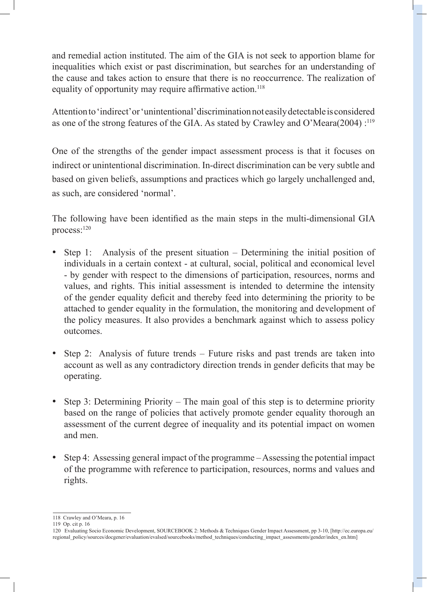and remedial action instituted. The aim of the GIA is not seek to apportion blame for inequalities which exist or past discrimination, but searches for an understanding of the cause and takes action to ensure that there is no reoccurrence. The realization of equality of opportunity may require affirmative action.<sup>118</sup>

Attention to 'indirect' or 'unintentional' discrimination not easily detectable is considered as one of the strong features of the GIA. As stated by Crawley and O'Meara(2004) :<sup>119</sup>

One of the strengths of the gender impact assessment process is that it focuses on indirect or unintentional discrimination. In-direct discrimination can be very subtle and based on given beliefs, assumptions and practices which go largely unchallenged and, as such, are considered 'normal'.

The following have been identified as the main steps in the multi-dimensional GIA process:120

- Step 1: Analysis of the present situation Determining the initial position of individuals in a certain context - at cultural, social, political and economical level - by gender with respect to the dimensions of participation, resources, norms and values, and rights. This initial assessment is intended to determine the intensity of the gender equality deficit and thereby feed into determining the priority to be attached to gender equality in the formulation, the monitoring and development of the policy measures. It also provides a benchmark against which to assess policy outcomes.
- Step 2: Analysis of future trends Future risks and past trends are taken into account as well as any contradictory direction trends in gender deficits that may be operating.
- Step 3: Determining Priority The main goal of this step is to determine priority based on the range of policies that actively promote gender equality thorough an assessment of the current degree of inequality and its potential impact on women and men.
- Step 4: Assessing general impact of the programme Assessing the potential impact of the programme with reference to participation, resources, norms and values and rights.

<sup>118</sup> Crawley and O'Meara, p. 16

<sup>119</sup> Op. cit p. 16

<sup>120</sup> Evaluating Socio Economic Development, SOURCEBOOK 2: Methods & Techniques Gender Impact Assessment, pp 3-10, [http://ec.europa.eu/ regional\_policy/sources/docgener/evaluation/evalsed/sourcebooks/method\_techniques/conducting\_impact\_assessments/gender/index\_en.htm]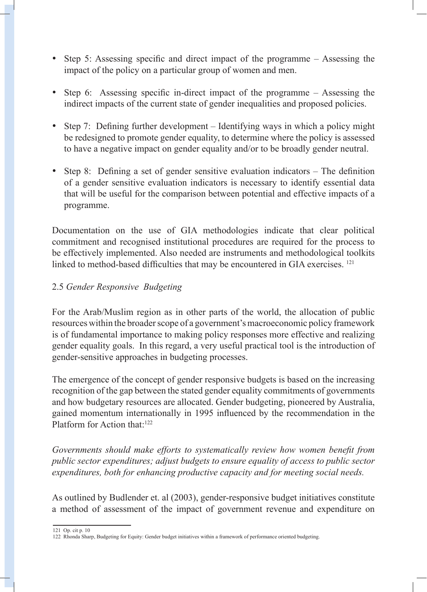- Step 5: Assessing specific and direct impact of the programme Assessing the impact of the policy on a particular group of women and men.
- Step 6: Assessing specific in-direct impact of the programme Assessing the indirect impacts of the current state of gender inequalities and proposed policies.
- Step 7: Defining further development Identifying ways in which a policy might be redesigned to promote gender equality, to determine where the policy is assessed to have a negative impact on gender equality and/or to be broadly gender neutral.
- Step 8: Defining a set of gender sensitive evaluation indicators The definition of a gender sensitive evaluation indicators is necessary to identify essential data that will be useful for the comparison between potential and effective impacts of a programme.

Documentation on the use of GIA methodologies indicate that clear political commitment and recognised institutional procedures are required for the process to be effectively implemented. Also needed are instruments and methodological toolkits linked to method-based difficulties that may be encountered in GIA exercises. <sup>121</sup>

### 2.5 *Gender Responsive Budgeting*

For the Arab/Muslim region as in other parts of the world, the allocation of public resources within the broader scope of a government's macroeconomic policy framework is of fundamental importance to making policy responses more effective and realizing gender equality goals. In this regard, a very useful practical tool is the introduction of gender-sensitive approaches in budgeting processes.

The emergence of the concept of gender responsive budgets is based on the increasing recognition of the gap between the stated gender equality commitments of governments and how budgetary resources are allocated. Gender budgeting, pioneered by Australia, gained momentum internationally in 1995 influenced by the recommendation in the Platform for Action that:<sup>122</sup>

*Governments should make efforts to systematically review how women benefit from public sector expenditures; adjust budgets to ensure equality of access to public sector expenditures, both for enhancing productive capacity and for meeting social needs.*

As outlined by Budlender et. al (2003), gender-responsive budget initiatives constitute a method of assessment of the impact of government revenue and expenditure on

<sup>121</sup> Op. cit p. 10

<sup>122</sup> Rhonda Sharp, Budgeting for Equity: Gender budget initiatives within a framework of performance oriented budgeting.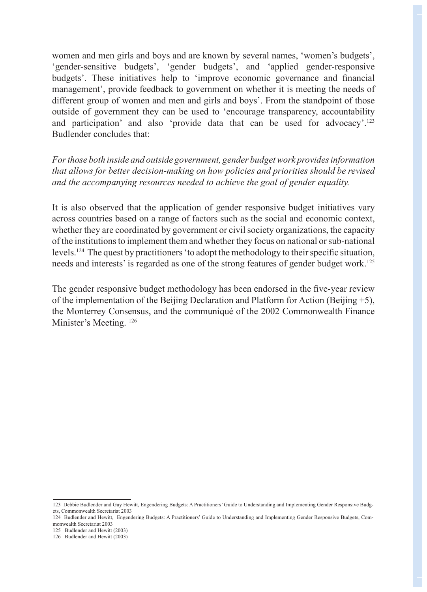women and men girls and boys and are known by several names, 'women's budgets', 'gender-sensitive budgets', 'gender budgets', and 'applied gender-responsive budgets'. These initiatives help to 'improve economic governance and financial management', provide feedback to government on whether it is meeting the needs of different group of women and men and girls and boys'. From the standpoint of those outside of government they can be used to 'encourage transparency, accountability and participation' and also 'provide data that can be used for advocacy'.<sup>123</sup> Budlender concludes that:

*For those both inside and outside government, gender budget work provides information that allows for better decision-making on how policies and priorities should be revised and the accompanying resources needed to achieve the goal of gender equality.*

It is also observed that the application of gender responsive budget initiatives vary across countries based on a range of factors such as the social and economic context, whether they are coordinated by government or civil society organizations, the capacity of the institutions to implement them and whether they focus on national or sub-national levels.124 The quest by practitioners 'to adopt the methodology to their specific situation, needs and interests' is regarded as one of the strong features of gender budget work.<sup>125</sup>

The gender responsive budget methodology has been endorsed in the five-year review of the implementation of the Beijing Declaration and Platform for Action (Beijing +5), the Monterrey Consensus, and the communiqué of the 2002 Commonwealth Finance Minister's Meeting. <sup>126</sup>

125 Budlender and Hewitt (2003)

<sup>123</sup> Debbie Budlender and Guy Hewitt, Engendering Budgets: A Practitioners' Guide to Understanding and Implementing Gender Responsive Budgets, Commonwealth Secretariat 2003

<sup>124</sup> Budlender and Hewitt, Engendering Budgets: A Practitioners' Guide to Understanding and Implementing Gender Responsive Budgets, Commonwealth Secretariat 2003

<sup>126</sup> Budlender and Hewitt (2003)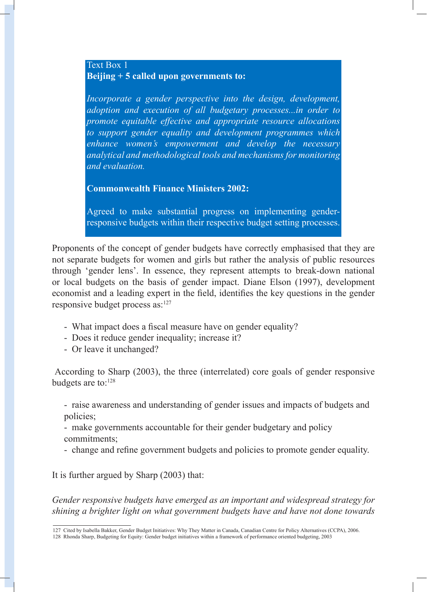#### Text Box 1 **Beijing + 5 called upon governments to:**

*Incorporate a gender perspective into the design, development, adoption and execution of all budgetary processes...in order to promote equitable effective and appropriate resource allocations to support gender equality and development programmes which enhance women's empowerment and develop the necessary analytical and methodological tools and mechanisms for monitoring and evaluation.*

**Commonwealth Finance Ministers 2002:**

Agreed to make substantial progress on implementing genderresponsive budgets within their respective budget setting processes.

Proponents of the concept of gender budgets have correctly emphasised that they are not separate budgets for women and girls but rather the analysis of public resources through 'gender lens'. In essence, they represent attempts to break-down national or local budgets on the basis of gender impact. Diane Elson (1997), development economist and a leading expert in the field, identifies the key questions in the gender responsive budget process as:127

- What impact does a fiscal measure have on gender equality?
- Does it reduce gender inequality; increase it?
- Or leave it unchanged?

 According to Sharp (2003), the three (interrelated) core goals of gender responsive budgets are to:<sup>128</sup>

- raise awareness and understanding of gender issues and impacts of budgets and policies;

- make governments accountable for their gender budgetary and policy commitments;

- change and refine government budgets and policies to promote gender equality.

It is further argued by Sharp (2003) that:

*Gender responsive budgets have emerged as an important and widespread strategy for shining a brighter light on what government budgets have and have not done towards* 

<sup>127</sup> Cited by Isabella Bakker, Gender Budget Initiatives: Why They Matter in Canada, Canadian Centre for Policy Alternatives (CCPA), 2006.

<sup>128</sup> Rhonda Sharp, Budgeting for Equity: Gender budget initiatives within a framework of performance oriented budgeting, 2003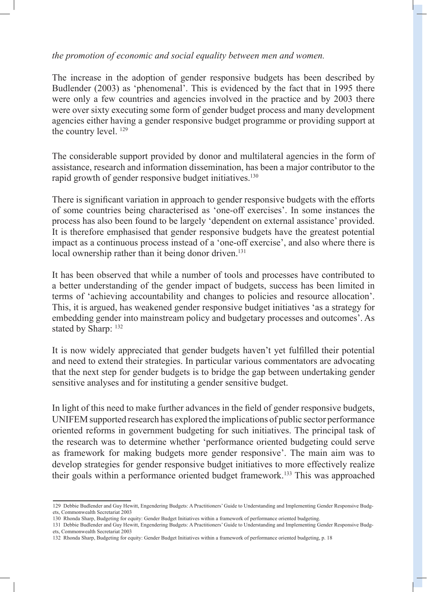*the promotion of economic and social equality between men and women.*

The increase in the adoption of gender responsive budgets has been described by Budlender (2003) as 'phenomenal'. This is evidenced by the fact that in 1995 there were only a few countries and agencies involved in the practice and by 2003 there were over sixty executing some form of gender budget process and many development agencies either having a gender responsive budget programme or providing support at the country level. 129

The considerable support provided by donor and multilateral agencies in the form of assistance, research and information dissemination, has been a major contributor to the rapid growth of gender responsive budget initiatives.<sup>130</sup>

There is significant variation in approach to gender responsive budgets with the efforts of some countries being characterised as 'one-off exercises'. In some instances the process has also been found to be largely 'dependent on external assistance' provided. It is therefore emphasised that gender responsive budgets have the greatest potential impact as a continuous process instead of a 'one-off exercise', and also where there is local ownership rather than it being donor driven.<sup>131</sup>

It has been observed that while a number of tools and processes have contributed to a better understanding of the gender impact of budgets, success has been limited in terms of 'achieving accountability and changes to policies and resource allocation'. This, it is argued, has weakened gender responsive budget initiatives 'as a strategy for embedding gender into mainstream policy and budgetary processes and outcomes'. As stated by Sharp:  $132$ 

It is now widely appreciated that gender budgets haven't yet fulfilled their potential and need to extend their strategies. In particular various commentators are advocating that the next step for gender budgets is to bridge the gap between undertaking gender sensitive analyses and for instituting a gender sensitive budget.

In light of this need to make further advances in the field of gender responsive budgets, UNIFEM supported research has explored the implications of public sector performance oriented reforms in government budgeting for such initiatives. The principal task of the research was to determine whether 'performance oriented budgeting could serve as framework for making budgets more gender responsive'. The main aim was to develop strategies for gender responsive budget initiatives to more effectively realize their goals within a performance oriented budget framework.133 This was approached

<sup>129</sup> Debbie Budlender and Guy Hewitt, Engendering Budgets: A Practitioners' Guide to Understanding and Implementing Gender Responsive Budgets, Commonwealth Secretariat 2003

<sup>130</sup> Rhonda Sharp, Budgeting for equity: Gender Budget Initiatives within a framework of performance oriented budgeting.

<sup>131</sup> Debbie Budlender and Guy Hewitt, Engendering Budgets: A Practitioners' Guide to Understanding and Implementing Gender Responsive Budgets, Commonwealth Secretariat 2003

<sup>132</sup> Rhonda Sharp, Budgeting for equity: Gender Budget Initiatives within a framework of performance oriented budgeting, p. 18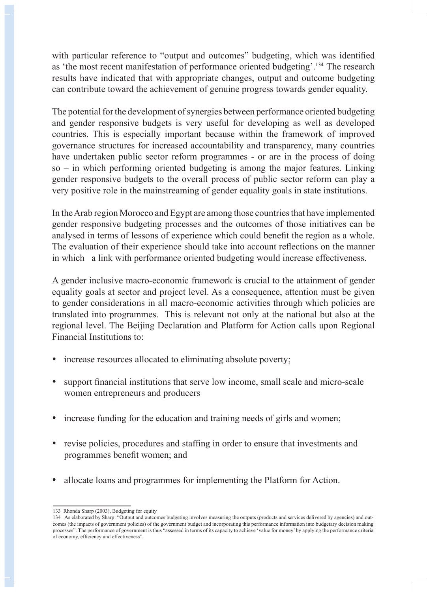with particular reference to "output and outcomes" budgeting, which was identified as 'the most recent manifestation of performance oriented budgeting'.134 The research results have indicated that with appropriate changes, output and outcome budgeting can contribute toward the achievement of genuine progress towards gender equality.

The potential for the development of synergies between performance oriented budgeting and gender responsive budgets is very useful for developing as well as developed countries. This is especially important because within the framework of improved governance structures for increased accountability and transparency, many countries have undertaken public sector reform programmes - or are in the process of doing so – in which performing oriented budgeting is among the major features. Linking gender responsive budgets to the overall process of public sector reform can play a very positive role in the mainstreaming of gender equality goals in state institutions.

In the Arab region Morocco and Egypt are among those countries that have implemented gender responsive budgeting processes and the outcomes of those initiatives can be analysed in terms of lessons of experience which could benefit the region as a whole. The evaluation of their experience should take into account reflections on the manner in which a link with performance oriented budgeting would increase effectiveness.

A gender inclusive macro-economic framework is crucial to the attainment of gender equality goals at sector and project level. As a consequence, attention must be given to gender considerations in all macro-economic activities through which policies are translated into programmes. This is relevant not only at the national but also at the regional level. The Beijing Declaration and Platform for Action calls upon Regional Financial Institutions to:

- increase resources allocated to eliminating absolute poverty;
- support financial institutions that serve low income, small scale and micro-scale women entrepreneurs and producers
- increase funding for the education and training needs of girls and women;
- revise policies, procedures and staffing in order to ensure that investments and programmes benefit women; and
- allocate loans and programmes for implementing the Platform for Action.

<sup>133</sup> Rhonda Sharp (2003), Budgeting for equity

<sup>134</sup> As elaborated by Sharp: "Output and outcomes budgeting involves measuring the outputs (products and services delivered by agencies) and outcomes (the impacts of government policies) of the government budget and incorporating this performance information into budgetary decision making processes". The performance of government is thus "assessed in terms of its capacity to achieve 'value for money' by applying the performance criteria of economy, efficiency and effectiveness".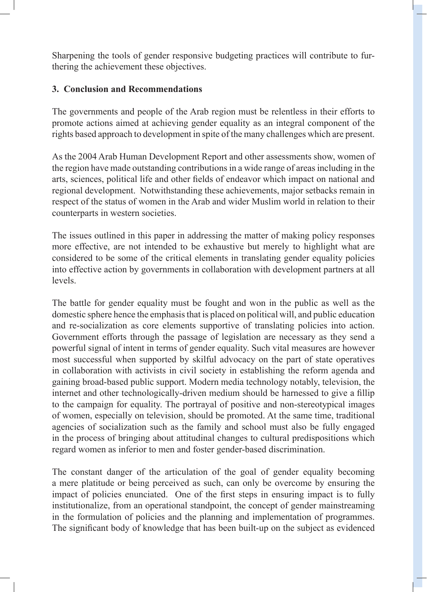Sharpening the tools of gender responsive budgeting practices will contribute to furthering the achievement these objectives.

### **3. Conclusion and Recommendations**

The governments and people of the Arab region must be relentless in their efforts to promote actions aimed at achieving gender equality as an integral component of the rights based approach to development in spite of the many challenges which are present.

As the 2004 Arab Human Development Report and other assessments show, women of the region have made outstanding contributions in a wide range of areas including in the arts, sciences, political life and other fields of endeavor which impact on national and regional development. Notwithstanding these achievements, major setbacks remain in respect of the status of women in the Arab and wider Muslim world in relation to their counterparts in western societies.

The issues outlined in this paper in addressing the matter of making policy responses more effective, are not intended to be exhaustive but merely to highlight what are considered to be some of the critical elements in translating gender equality policies into effective action by governments in collaboration with development partners at all levels.

The battle for gender equality must be fought and won in the public as well as the domestic sphere hence the emphasis that is placed on political will, and public education and re-socialization as core elements supportive of translating policies into action. Government efforts through the passage of legislation are necessary as they send a powerful signal of intent in terms of gender equality. Such vital measures are however most successful when supported by skilful advocacy on the part of state operatives in collaboration with activists in civil society in establishing the reform agenda and gaining broad-based public support. Modern media technology notably, television, the internet and other technologically-driven medium should be harnessed to give a fillip to the campaign for equality. The portrayal of positive and non-stereotypical images of women, especially on television, should be promoted. At the same time, traditional agencies of socialization such as the family and school must also be fully engaged in the process of bringing about attitudinal changes to cultural predispositions which regard women as inferior to men and foster gender-based discrimination.

The constant danger of the articulation of the goal of gender equality becoming a mere platitude or being perceived as such, can only be overcome by ensuring the impact of policies enunciated. One of the first steps in ensuring impact is to fully institutionalize, from an operational standpoint, the concept of gender mainstreaming in the formulation of policies and the planning and implementation of programmes. The significant body of knowledge that has been built-up on the subject as evidenced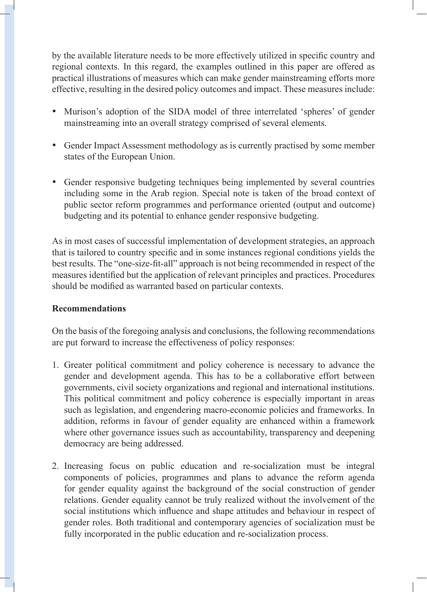by the available literature needs to be more effectively utilized in specific country and regional contexts. In this regard, the examples outlined in this paper are offered as practical illustrations of measures which can make gender mainstreaming efforts more effective, resulting in the desired policy outcomes and impact. These measures include:

- Murison's adoption of the SIDA model of three interrelated 'spheres' of gender mainstreaming into an overall strategy comprised of several elements.
- Gender Impact Assessment methodology as is currently practised by some member states of the European Union.
- Gender responsive budgeting techniques being implemented by several countries including some in the Arab region. Special note is taken of the broad context of public sector reform programmes and performance oriented (output and outcome) budgeting and its potential to enhance gender responsive budgeting.

As in most cases of successful implementation of development strategies, an approach that is tailored to country specific and in some instances regional conditions yields the best results. The "one-size-fit-all" approach is not being recommended in respect of the measures identified but the application of relevant principles and practices. Procedures should be modified as warranted based on particular contexts.

#### **Recommendations**

On the basis of the foregoing analysis and conclusions, the following recommendations are put forward to increase the effectiveness of policy responses:

- 1. Greater political commitment and policy coherence is necessary to advance the gender and development agenda. This has to be a collaborative effort between governments, civil society organizations and regional and international institutions. This political commitment and policy coherence is especially important in areas such as legislation, and engendering macro-economic policies and frameworks. In addition, reforms in favour of gender equality are enhanced within a framework where other governance issues such as accountability, transparency and deepening democracy are being addressed.
- 2. Increasing focus on public education and re-socialization must be integral components of policies, programmes and plans to advance the reform agenda for gender equality against the background of the social construction of gender relations. Gender equality cannot be truly realized without the involvement of the social institutions which influence and shape attitudes and behaviour in respect of gender roles. Both traditional and contemporary agencies of socialization must be fully incorporated in the public education and re-socialization process.